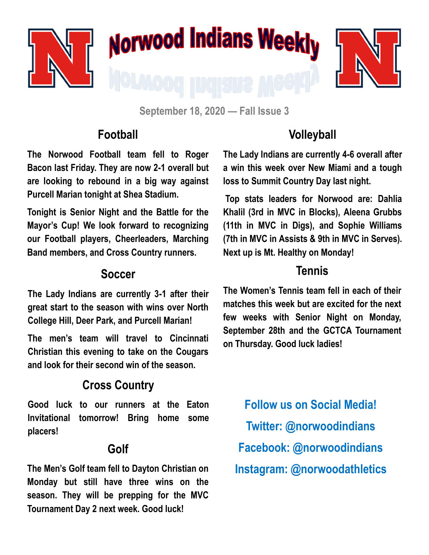

**September 18, 2020 — Fall Issue 3**

### **Football**

**The Norwood Football team fell to Roger Bacon last Friday. They are now 2-1 overall but are looking to rebound in a big way against Purcell Marian tonight at Shea Stadium.** 

**Tonight is Senior Night and the Battle for the Mayor's Cup! We look forward to recognizing our Football players, Cheerleaders, Marching Band members, and Cross Country runners.**

#### **Soccer**

**The Lady Indians are currently 3-1 after their great start to the season with wins over North College Hill, Deer Park, and Purcell Marian!**

**The men's team will travel to Cincinnati Christian this evening to take on the Cougars and look for their second win of the season.**

# **Cross Country**

**Good luck to our runners at the Eaton Invitational tomorrow! Bring home some placers!**

## **Golf**

**The Men's Golf team fell to Dayton Christian on Monday but still have three wins on the season. They will be prepping for the MVC Tournament Day 2 next week. Good luck!**

## **Volleyball**

**The Lady Indians are currently 4-6 overall after a win this week over New Miami and a tough loss to Summit Country Day last night.** 

**Top stats leaders for Norwood are: Dahlia Khalil (3rd in MVC in Blocks), Aleena Grubbs (11th in MVC in Digs), and Sophie Williams (7th in MVC in Assists & 9th in MVC in Serves). Next up is Mt. Healthy on Monday!**

#### **Tennis**

**The Women's Tennis team fell in each of their matches this week but are excited for the next few weeks with Senior Night on Monday, September 28th and the GCTCA Tournament on Thursday. Good luck ladies!**

**Follow us on Social Media! Twitter: @norwoodindians Facebook: @norwoodindians Instagram: @norwoodathletics**